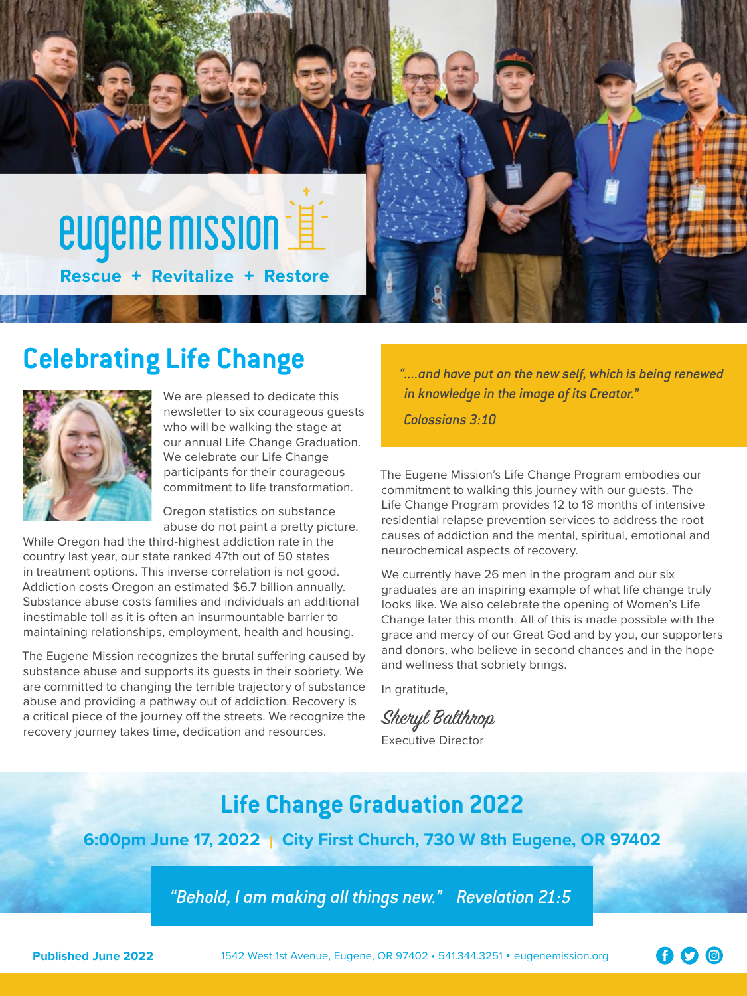

# **Celebrating Life Change** *"....and have put on the new self, which is being renewed*



We are pleased to dedicate this newsletter to six courageous guests who will be walking the stage at our annual Life Change Graduation. We celebrate our Life Change participants for their courageous commitment to life transformation.

Oregon statistics on substance abuse do not paint a pretty picture.

While Oregon had the third-highest addiction rate in the country last year, our state ranked 47th out of 50 states in treatment options. This inverse correlation is not good. Addiction costs Oregon an estimated \$6.7 billion annually. Substance abuse costs families and individuals an additional inestimable toll as it is often an insurmountable barrier to maintaining relationships, employment, health and housing.

The Eugene Mission recognizes the brutal suffering caused by substance abuse and supports its guests in their sobriety. We are committed to changing the terrible trajectory of substance abuse and providing a pathway out of addiction. Recovery is a critical piece of the journey off the streets. We recognize the recovery journey takes time, dedication and resources.

*in knowledge in the image of its Creator." Colossians 3:10*

The Eugene Mission's Life Change Program embodies our commitment to walking this journey with our guests. The Life Change Program provides 12 to 18 months of intensive residential relapse prevention services to address the root causes of addiction and the mental, spiritual, emotional and neurochemical aspects of recovery.

We currently have 26 men in the program and our six graduates are an inspiring example of what life change truly looks like. We also celebrate the opening of Women's Life Change later this month. All of this is made possible with the grace and mercy of our Great God and by you, our supporters and donors, who believe in second chances and in the hope and wellness that sobriety brings.

In gratitude,

Sheryl Balthrop

Executive Director

# **Life Change Graduation 2022**

**6:00pm June 17, 2022 | City First Church, 730 W 8th Eugene, OR 97402**

*"Behold, I am making all things new." Revelation 21:5*

**Published June 2022** 1542 West 1st Avenue, Eugene, OR 97402 • 541.344.3251 • eugenemission.org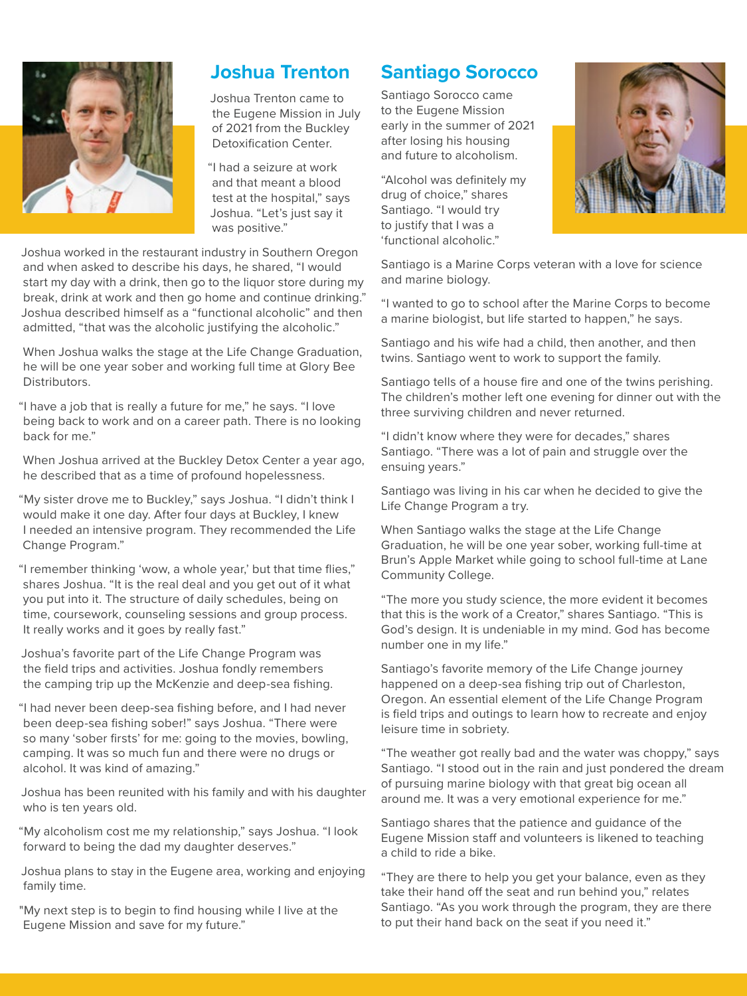

## **Joshua Trenton**

Joshua Trenton came to the Eugene Mission in July of 2021 from the Buckley Detoxification Center.

"I had a seizure at work and that meant a blood test at the hospital," says Joshua. "Let's just say it was positive."

Joshua worked in the restaurant industry in Southern Oregon and when asked to describe his days, he shared, "I would start my day with a drink, then go to the liquor store during my break, drink at work and then go home and continue drinking." Joshua described himself as a "functional alcoholic" and then admitted, "that was the alcoholic justifying the alcoholic."

When Joshua walks the stage at the Life Change Graduation, he will be one year sober and working full time at Glory Bee Distributors.

"I have a job that is really a future for me," he says. "I love being back to work and on a career path. There is no looking back for me."

When Joshua arrived at the Buckley Detox Center a year ago, he described that as a time of profound hopelessness.

"My sister drove me to Buckley," says Joshua. "I didn't think I would make it one day. After four days at Buckley, I knew I needed an intensive program. They recommended the Life Change Program."

"I remember thinking 'wow, a whole year,' but that time flies," shares Joshua. "It is the real deal and you get out of it what you put into it. The structure of daily schedules, being on time, coursework, counseling sessions and group process. It really works and it goes by really fast."

Joshua's favorite part of the Life Change Program was the field trips and activities. Joshua fondly remembers the camping trip up the McKenzie and deep-sea fishing.

"I had never been deep-sea fishing before, and I had never been deep-sea fishing sober!" says Joshua. "There were so many 'sober firsts' for me: going to the movies, bowling, camping. It was so much fun and there were no drugs or alcohol. It was kind of amazing."

Joshua has been reunited with his family and with his daughter who is ten years old.

"My alcoholism cost me my relationship," says Joshua. "I look forward to being the dad my daughter deserves."

Joshua plans to stay in the Eugene area, working and enjoying family time.

"My next step is to begin to find housing while I live at the Eugene Mission and save for my future."

# **Santiago Sorocco**

Santiago Sorocco came to the Eugene Mission early in the summer of 2021 after losing his housing and future to alcoholism.

"Alcohol was definitely my drug of choice," shares Santiago. "I would try to justify that I was a 'functional alcoholic."



Santiago is a Marine Corps veteran with a love for science and marine biology.

"I wanted to go to school after the Marine Corps to become a marine biologist, but life started to happen," he says.

Santiago and his wife had a child, then another, and then twins. Santiago went to work to support the family.

Santiago tells of a house fire and one of the twins perishing. The children's mother left one evening for dinner out with the three surviving children and never returned.

"I didn't know where they were for decades," shares Santiago. "There was a lot of pain and struggle over the ensuing years."

Santiago was living in his car when he decided to give the Life Change Program a try.

When Santiago walks the stage at the Life Change Graduation, he will be one year sober, working full-time at Brun's Apple Market while going to school full-time at Lane Community College.

"The more you study science, the more evident it becomes that this is the work of a Creator," shares Santiago. "This is God's design. It is undeniable in my mind. God has become number one in my life."

Santiago's favorite memory of the Life Change journey happened on a deep-sea fishing trip out of Charleston, Oregon. An essential element of the Life Change Program is field trips and outings to learn how to recreate and enjoy leisure time in sobriety.

"The weather got really bad and the water was choppy," says Santiago. "I stood out in the rain and just pondered the dream of pursuing marine biology with that great big ocean all around me. It was a very emotional experience for me."

Santiago shares that the patience and guidance of the Eugene Mission staff and volunteers is likened to teaching a child to ride a bike.

"They are there to help you get your balance, even as they take their hand off the seat and run behind you," relates Santiago. "As you work through the program, they are there to put their hand back on the seat if you need it."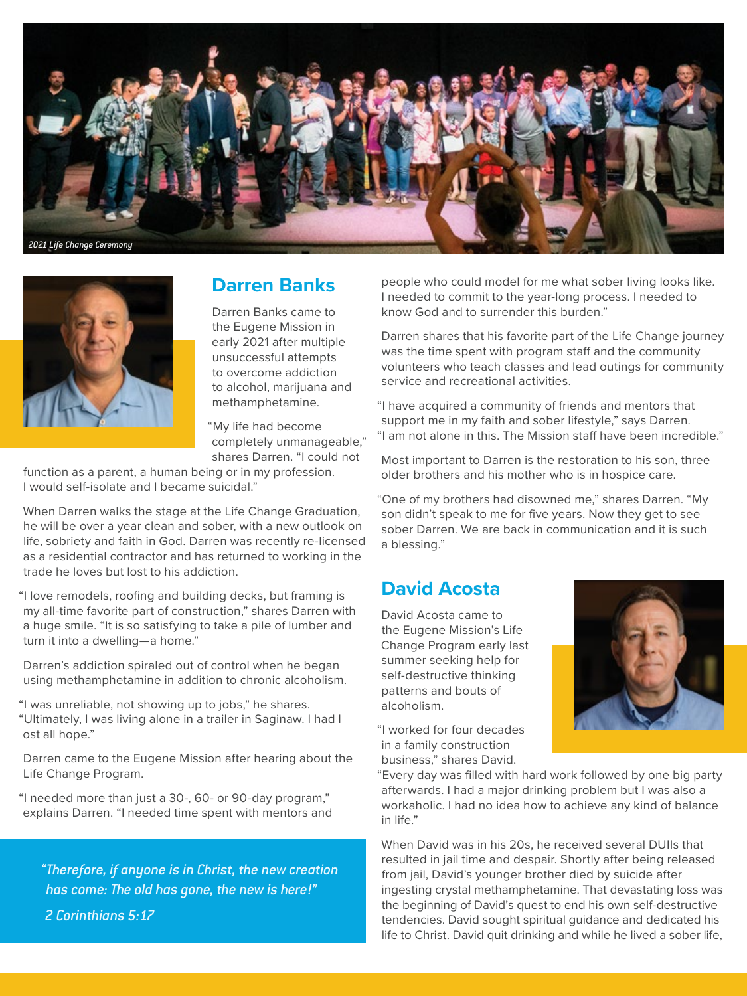



#### **Darren Banks**

Darren Banks came to the Eugene Mission in early 2021 after multiple unsuccessful attempts to overcome addiction to alcohol, marijuana and methamphetamine.

"My life had become completely unmanageable," shares Darren. "I could not

function as a parent, a human being or in my profession. I would self-isolate and I became suicidal."

When Darren walks the stage at the Life Change Graduation, he will be over a year clean and sober, with a new outlook on life, sobriety and faith in God. Darren was recently re-licensed as a residential contractor and has returned to working in the trade he loves but lost to his addiction.

"I love remodels, roofing and building decks, but framing is my all-time favorite part of construction," shares Darren with a huge smile. "It is so satisfying to take a pile of lumber and turn it into a dwelling—a home."

Darren's addiction spiraled out of control when he began using methamphetamine in addition to chronic alcoholism.

"I was unreliable, not showing up to jobs," he shares. "Ultimately, I was living alone in a trailer in Saginaw. I had l ost all hope."

Darren came to the Eugene Mission after hearing about the Life Change Program.

"I needed more than just a 30-, 60- or 90-day program," explains Darren. "I needed time spent with mentors and

*"Therefore, if anyone is in Christ, the new creation has come: The old has gone, the new is here!" 2 Corinthians 5:17*

people who could model for me what sober living looks like. I needed to commit to the year-long process. I needed to know God and to surrender this burden."

Darren shares that his favorite part of the Life Change journey was the time spent with program staff and the community volunteers who teach classes and lead outings for community service and recreational activities.

"I have acquired a community of friends and mentors that support me in my faith and sober lifestyle," says Darren. "I am not alone in this. The Mission staff have been incredible."

Most important to Darren is the restoration to his son, three older brothers and his mother who is in hospice care.

"One of my brothers had disowned me," shares Darren. "My son didn't speak to me for five years. Now they get to see sober Darren. We are back in communication and it is such a blessing."

#### **David Acosta**

David Acosta came to the Eugene Mission's Life Change Program early last summer seeking help for self-destructive thinking patterns and bouts of alcoholism.

"I worked for four decades in a family construction business," shares David.

"Every day was filled with hard work followed by one big party afterwards. I had a major drinking problem but I was also a workaholic. I had no idea how to achieve any kind of balance in life."

When David was in his 20s, he received several DUIIs that resulted in jail time and despair. Shortly after being released from jail, David's younger brother died by suicide after ingesting crystal methamphetamine. That devastating loss was the beginning of David's quest to end his own self-destructive tendencies. David sought spiritual guidance and dedicated his life to Christ. David quit drinking and while he lived a sober life,